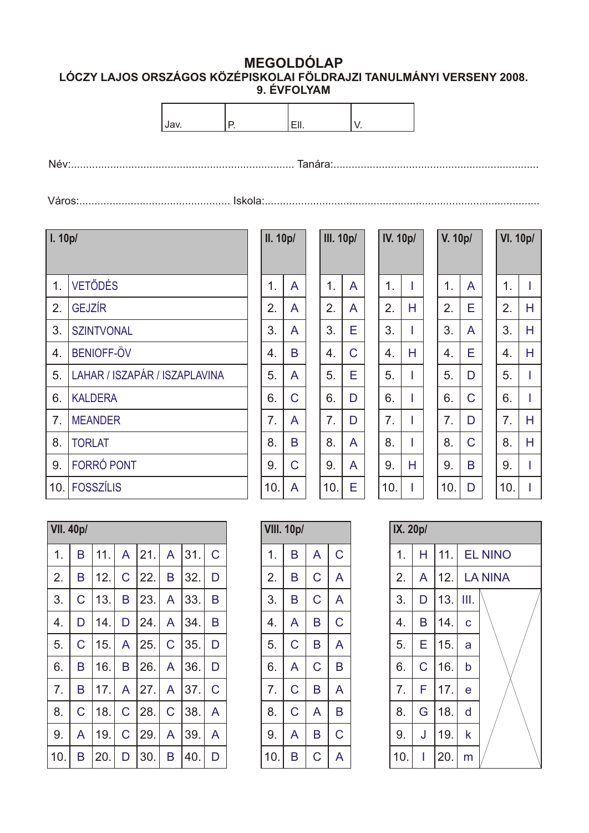## **MEGOLDÓLAP LÓCZY LAJOS ORSZÁGOS KÖZÉPISKOLAI FÖLDRAJZI TANULMÁNYI VERSENY 2008. 9. ÉVFOLYAM**

Név:.......................................................................... Tanára:....................................................................

Város:.................................................. Iskola:...........................................................................................

| l. 10p/        |                               | Ī |
|----------------|-------------------------------|---|
|                |                               |   |
| 1 <sub>1</sub> | <b>VETŐDÉS</b>                |   |
| 2.             | <b>GEJZÍR</b>                 |   |
| 3.             | <b>SZINTVONAL</b>             |   |
| 4.             | <b>BENIOFF-ÖV</b>             |   |
| 5.             | LAHAR / ISZAPÁR / ISZAPLAVINA |   |
| 6.             | <b>KALDERA</b>                |   |
| 7.             | <b>MEANDER</b>                |   |
| 8.             | <b>TORLAT</b>                 |   |
| 9.             | <b>FORRÓ PONT</b>             |   |
| 10.            | <b>FOSSZÍLIS</b>              | 1 |

| II. 10p/ |   | <b>III. 10p/</b> |   |
|----------|---|------------------|---|
| 1.       | A | 1.               | A |
| 2.       | A | 2.               | A |
| 3.       | A | 3.               | E |
| 4.       | B | 4.               | C |
| 5.       | A | 5.               | E |
| 6.       | C | 6.               | D |
| 7.       | A | 7.               | D |
| 8.       | B | 8.               | A |
| 9.       | Ć | 9.               | A |
| 10.      | A | 10.              | Е |

 $\overline{A}$ 

A

E

C

E

D

D

| <b>IV. 10p/</b> |   | <b>V. 10p/</b>   |   |
|-----------------|---|------------------|---|
| 1.              |   | 1.               | A |
| 2.              | Н | 2.               | E |
| 3.              |   | 3.               | A |
| 4.              | Н | 4.               | E |
| 5.              |   | 5.               | D |
| 6.              | I | 6.               | C |
| 7.              | I | $\overline{7}$ . | D |
| 8.              | I | 8.               | C |
| 9.              | H | 9.               | B |
| 10.             |   | 10.              | D |
|                 |   |                  |   |

| V. 10p/ |   | <b>VI. 10p/</b>  |   |
|---------|---|------------------|---|
| 1.      | A | 1.               | I |
| 2.      | Ë | 2.               | Н |
| 3.      | A | 3.               | Н |
| 4.      | Ë | $\overline{4}$ . | Н |
| 5.      | D | 5.               |   |
| 6.      | Ć | 6.               |   |
| 7.      | D | $\overline{7}$ . | H |
| 8.      | Ć | 8.               | Н |
| 9.      | B | 9.               | ı |
| 10.     | D | 10.              |   |

|     | <b>VII. 40p/</b> |     |                |     |                |     |   |  |
|-----|------------------|-----|----------------|-----|----------------|-----|---|--|
| 1.  | B                | 11. | A              | 21. | A              | 31. | C |  |
| 2.  | B                | 12. | $\overline{C}$ | 22. | B              | 32. | D |  |
| 3.  | Ć                | 13. | B              | 23. | $\overline{A}$ | 33. | B |  |
| 4.  | D                | 14. | D              | 24. | A              | 34. | B |  |
| 5.  | Ć                | 15. | A              | 25. | $\overline{C}$ | 35. | D |  |
| 6.  | B                | 16. | B              | 26. | $\overline{A}$ | 36. | D |  |
| 7.  | B                | 17. | A              | 27. | A              | 37. | C |  |
| 8.  | C                | 18. | $\overline{C}$ | 28. | $\overline{C}$ | 38. | A |  |
| 9.  | A                | 19. | C              | 29. | A              | 39. | A |  |
| 10. | B                | 20. | D              | 30. | B              | 40. | D |  |

| <b>VIII. 10p/</b> |   |   |   |  |  |
|-------------------|---|---|---|--|--|
| 1.                | B | A | C |  |  |
| 2.                | B | Ć | A |  |  |
| 3.                | B | Ć | A |  |  |
| 4.                | A | Β | C |  |  |
| 5.                | Ć | В | A |  |  |
| 6.                | A | Ć | B |  |  |
| 7.                | Ć | Β | A |  |  |
| 8.                | Ć | A | B |  |  |
| 9.                | A | B | Ć |  |  |
| 10.               | B | Ć | А |  |  |

| IX. 20p/ |                |     |      |                |  |  |  |
|----------|----------------|-----|------|----------------|--|--|--|
| 1.       | H              | 11. |      | <b>EL NINO</b> |  |  |  |
| 2.       | $\overline{A}$ | 12. |      | <b>LA NINA</b> |  |  |  |
| 3.       | D              | 13. | III. |                |  |  |  |
| 4.       | B              | 14. | c    |                |  |  |  |
| 5.       | E              | 15. | a    |                |  |  |  |
| 6.       | C              | 16. | b    |                |  |  |  |
| 7.       | F              | 17. | e    |                |  |  |  |
| 8.       | Ġ              | 18. | d    |                |  |  |  |
| 9.       | J              | 19. | k    |                |  |  |  |
| 10.      |                | 20. | m    |                |  |  |  |